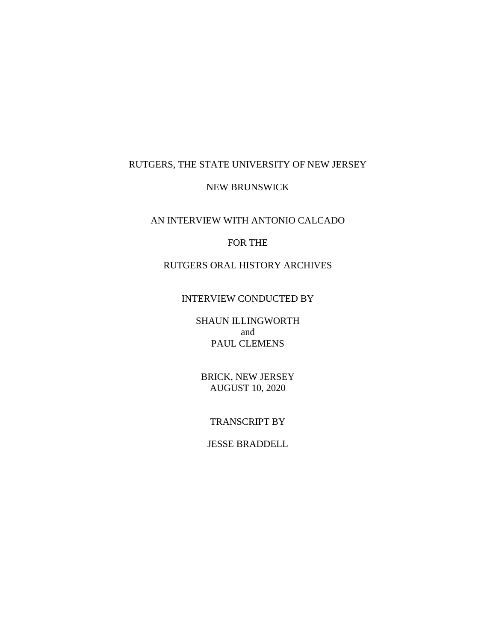# RUTGERS, THE STATE UNIVERSITY OF NEW JERSEY

### NEW BRUNSWICK

## AN INTERVIEW WITH ANTONIO CALCADO

## FOR THE

# RUTGERS ORAL HISTORY ARCHIVES

#### INTERVIEW CONDUCTED BY

SHAUN ILLINGWORTH and PAUL CLEMENS

BRICK, NEW JERSEY AUGUST 10, 2020

#### TRANSCRIPT BY

# JESSE BRADDELL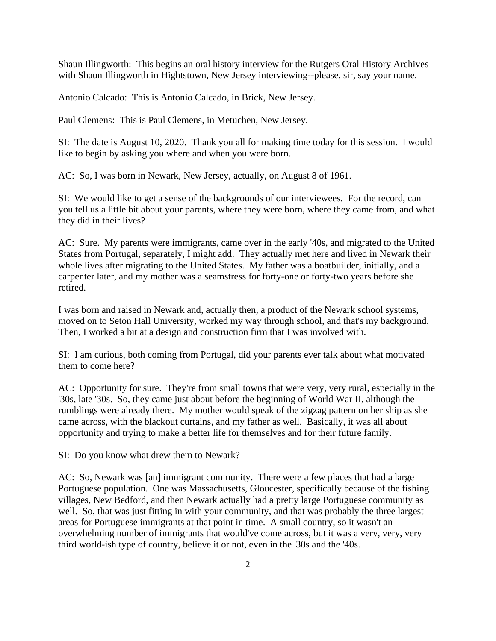Shaun Illingworth: This begins an oral history interview for the Rutgers Oral History Archives with Shaun Illingworth in Hightstown, New Jersey interviewing--please, sir, say your name.

Antonio Calcado: This is Antonio Calcado, in Brick, New Jersey.

Paul Clemens: This is Paul Clemens, in Metuchen, New Jersey.

SI: The date is August 10, 2020. Thank you all for making time today for this session. I would like to begin by asking you where and when you were born.

AC: So, I was born in Newark, New Jersey, actually, on August 8 of 1961.

SI: We would like to get a sense of the backgrounds of our interviewees. For the record, can you tell us a little bit about your parents, where they were born, where they came from, and what they did in their lives?

AC: Sure. My parents were immigrants, came over in the early '40s, and migrated to the United States from Portugal, separately, I might add. They actually met here and lived in Newark their whole lives after migrating to the United States. My father was a boatbuilder, initially, and a carpenter later, and my mother was a seamstress for forty-one or forty-two years before she retired.

I was born and raised in Newark and, actually then, a product of the Newark school systems, moved on to Seton Hall University, worked my way through school, and that's my background. Then, I worked a bit at a design and construction firm that I was involved with.

SI: I am curious, both coming from Portugal, did your parents ever talk about what motivated them to come here?

AC: Opportunity for sure. They're from small towns that were very, very rural, especially in the '30s, late '30s. So, they came just about before the beginning of World War II, although the rumblings were already there. My mother would speak of the zigzag pattern on her ship as she came across, with the blackout curtains, and my father as well. Basically, it was all about opportunity and trying to make a better life for themselves and for their future family.

SI: Do you know what drew them to Newark?

AC: So, Newark was [an] immigrant community. There were a few places that had a large Portuguese population. One was Massachusetts, Gloucester, specifically because of the fishing villages, New Bedford, and then Newark actually had a pretty large Portuguese community as well. So, that was just fitting in with your community, and that was probably the three largest areas for Portuguese immigrants at that point in time. A small country, so it wasn't an overwhelming number of immigrants that would've come across, but it was a very, very, very third world-ish type of country, believe it or not, even in the '30s and the '40s.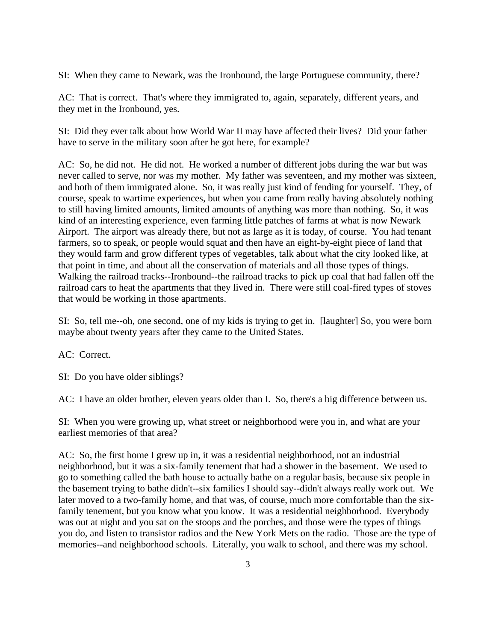SI: When they came to Newark, was the Ironbound, the large Portuguese community, there?

AC: That is correct. That's where they immigrated to, again, separately, different years, and they met in the Ironbound, yes.

SI: Did they ever talk about how World War II may have affected their lives? Did your father have to serve in the military soon after he got here, for example?

AC: So, he did not. He did not. He worked a number of different jobs during the war but was never called to serve, nor was my mother. My father was seventeen, and my mother was sixteen, and both of them immigrated alone. So, it was really just kind of fending for yourself. They, of course, speak to wartime experiences, but when you came from really having absolutely nothing to still having limited amounts, limited amounts of anything was more than nothing. So, it was kind of an interesting experience, even farming little patches of farms at what is now Newark Airport. The airport was already there, but not as large as it is today, of course. You had tenant farmers, so to speak, or people would squat and then have an eight-by-eight piece of land that they would farm and grow different types of vegetables, talk about what the city looked like, at that point in time, and about all the conservation of materials and all those types of things. Walking the railroad tracks--Ironbound--the railroad tracks to pick up coal that had fallen off the railroad cars to heat the apartments that they lived in. There were still coal-fired types of stoves that would be working in those apartments.

SI: So, tell me--oh, one second, one of my kids is trying to get in. [laughter] So, you were born maybe about twenty years after they came to the United States.

AC: Correct.

SI: Do you have older siblings?

AC: I have an older brother, eleven years older than I. So, there's a big difference between us.

SI: When you were growing up, what street or neighborhood were you in, and what are your earliest memories of that area?

AC: So, the first home I grew up in, it was a residential neighborhood, not an industrial neighborhood, but it was a six-family tenement that had a shower in the basement. We used to go to something called the bath house to actually bathe on a regular basis, because six people in the basement trying to bathe didn't--six families I should say--didn't always really work out. We later moved to a two-family home, and that was, of course, much more comfortable than the sixfamily tenement, but you know what you know. It was a residential neighborhood. Everybody was out at night and you sat on the stoops and the porches, and those were the types of things you do, and listen to transistor radios and the New York Mets on the radio. Those are the type of memories--and neighborhood schools. Literally, you walk to school, and there was my school.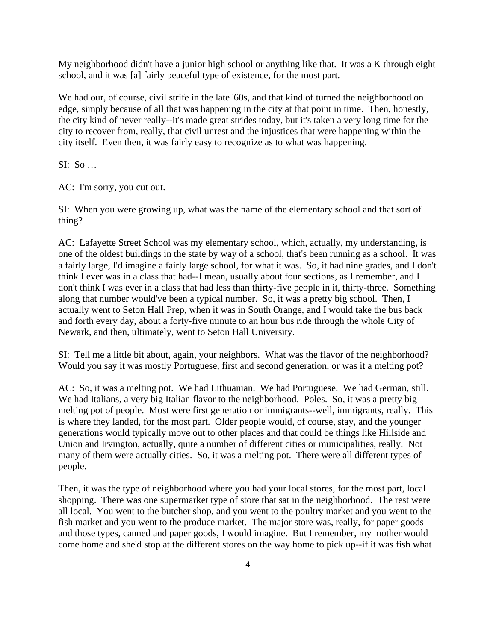My neighborhood didn't have a junior high school or anything like that. It was a K through eight school, and it was [a] fairly peaceful type of existence, for the most part.

We had our, of course, civil strife in the late '60s, and that kind of turned the neighborhood on edge, simply because of all that was happening in the city at that point in time. Then, honestly, the city kind of never really--it's made great strides today, but it's taken a very long time for the city to recover from, really, that civil unrest and the injustices that were happening within the city itself. Even then, it was fairly easy to recognize as to what was happening.

SI: So …

AC: I'm sorry, you cut out.

SI: When you were growing up, what was the name of the elementary school and that sort of thing?

AC: Lafayette Street School was my elementary school, which, actually, my understanding, is one of the oldest buildings in the state by way of a school, that's been running as a school. It was a fairly large, I'd imagine a fairly large school, for what it was. So, it had nine grades, and I don't think I ever was in a class that had--I mean, usually about four sections, as I remember, and I don't think I was ever in a class that had less than thirty-five people in it, thirty-three. Something along that number would've been a typical number. So, it was a pretty big school. Then, I actually went to Seton Hall Prep, when it was in South Orange, and I would take the bus back and forth every day, about a forty-five minute to an hour bus ride through the whole City of Newark, and then, ultimately, went to Seton Hall University.

SI: Tell me a little bit about, again, your neighbors. What was the flavor of the neighborhood? Would you say it was mostly Portuguese, first and second generation, or was it a melting pot?

AC: So, it was a melting pot. We had Lithuanian. We had Portuguese. We had German, still. We had Italians, a very big Italian flavor to the neighborhood. Poles. So, it was a pretty big melting pot of people. Most were first generation or immigrants--well, immigrants, really. This is where they landed, for the most part. Older people would, of course, stay, and the younger generations would typically move out to other places and that could be things like Hillside and Union and Irvington, actually, quite a number of different cities or municipalities, really. Not many of them were actually cities. So, it was a melting pot. There were all different types of people.

Then, it was the type of neighborhood where you had your local stores, for the most part, local shopping. There was one supermarket type of store that sat in the neighborhood. The rest were all local. You went to the butcher shop, and you went to the poultry market and you went to the fish market and you went to the produce market. The major store was, really, for paper goods and those types, canned and paper goods, I would imagine. But I remember, my mother would come home and she'd stop at the different stores on the way home to pick up--if it was fish what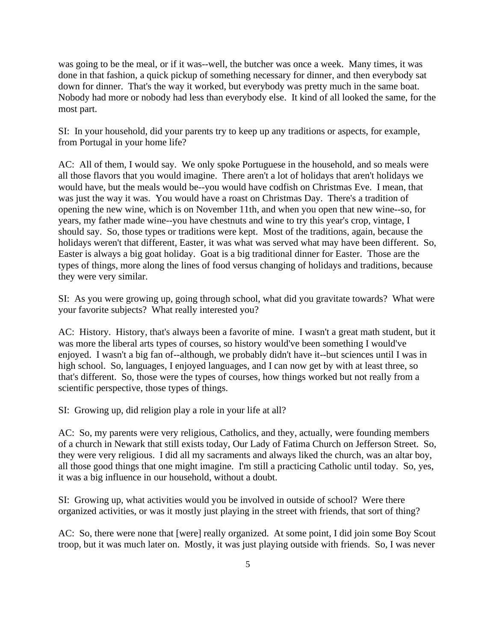was going to be the meal, or if it was--well, the butcher was once a week. Many times, it was done in that fashion, a quick pickup of something necessary for dinner, and then everybody sat down for dinner. That's the way it worked, but everybody was pretty much in the same boat. Nobody had more or nobody had less than everybody else. It kind of all looked the same, for the most part.

SI: In your household, did your parents try to keep up any traditions or aspects, for example, from Portugal in your home life?

AC: All of them, I would say. We only spoke Portuguese in the household, and so meals were all those flavors that you would imagine. There aren't a lot of holidays that aren't holidays we would have, but the meals would be--you would have codfish on Christmas Eve. I mean, that was just the way it was. You would have a roast on Christmas Day. There's a tradition of opening the new wine, which is on November 11th, and when you open that new wine--so, for years, my father made wine--you have chestnuts and wine to try this year's crop, vintage, I should say. So, those types or traditions were kept. Most of the traditions, again, because the holidays weren't that different, Easter, it was what was served what may have been different. So, Easter is always a big goat holiday. Goat is a big traditional dinner for Easter. Those are the types of things, more along the lines of food versus changing of holidays and traditions, because they were very similar.

SI: As you were growing up, going through school, what did you gravitate towards? What were your favorite subjects? What really interested you?

AC: History. History, that's always been a favorite of mine. I wasn't a great math student, but it was more the liberal arts types of courses, so history would've been something I would've enjoyed. I wasn't a big fan of--although, we probably didn't have it--but sciences until I was in high school. So, languages, I enjoyed languages, and I can now get by with at least three, so that's different. So, those were the types of courses, how things worked but not really from a scientific perspective, those types of things.

SI: Growing up, did religion play a role in your life at all?

AC: So, my parents were very religious, Catholics, and they, actually, were founding members of a church in Newark that still exists today, Our Lady of Fatima Church on Jefferson Street. So, they were very religious. I did all my sacraments and always liked the church, was an altar boy, all those good things that one might imagine. I'm still a practicing Catholic until today. So, yes, it was a big influence in our household, without a doubt.

SI: Growing up, what activities would you be involved in outside of school? Were there organized activities, or was it mostly just playing in the street with friends, that sort of thing?

AC: So, there were none that [were] really organized. At some point, I did join some Boy Scout troop, but it was much later on. Mostly, it was just playing outside with friends. So, I was never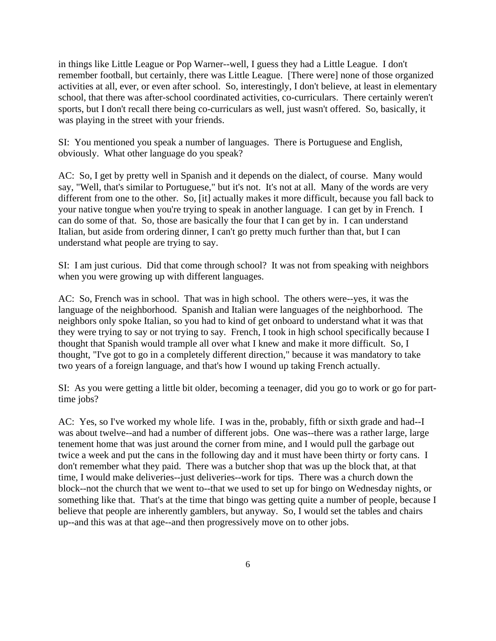in things like Little League or Pop Warner--well, I guess they had a Little League. I don't remember football, but certainly, there was Little League. [There were] none of those organized activities at all, ever, or even after school. So, interestingly, I don't believe, at least in elementary school, that there was after-school coordinated activities, co-curriculars. There certainly weren't sports, but I don't recall there being co-curriculars as well, just wasn't offered. So, basically, it was playing in the street with your friends.

SI: You mentioned you speak a number of languages. There is Portuguese and English, obviously. What other language do you speak?

AC: So, I get by pretty well in Spanish and it depends on the dialect, of course. Many would say, "Well, that's similar to Portuguese," but it's not. It's not at all. Many of the words are very different from one to the other. So, [it] actually makes it more difficult, because you fall back to your native tongue when you're trying to speak in another language. I can get by in French. I can do some of that. So, those are basically the four that I can get by in. I can understand Italian, but aside from ordering dinner, I can't go pretty much further than that, but I can understand what people are trying to say.

SI: I am just curious. Did that come through school? It was not from speaking with neighbors when you were growing up with different languages.

AC: So, French was in school. That was in high school. The others were--yes, it was the language of the neighborhood. Spanish and Italian were languages of the neighborhood. The neighbors only spoke Italian, so you had to kind of get onboard to understand what it was that they were trying to say or not trying to say. French, I took in high school specifically because I thought that Spanish would trample all over what I knew and make it more difficult. So, I thought, "I've got to go in a completely different direction," because it was mandatory to take two years of a foreign language, and that's how I wound up taking French actually.

SI: As you were getting a little bit older, becoming a teenager, did you go to work or go for parttime jobs?

AC: Yes, so I've worked my whole life. I was in the, probably, fifth or sixth grade and had--I was about twelve--and had a number of different jobs. One was--there was a rather large, large tenement home that was just around the corner from mine, and I would pull the garbage out twice a week and put the cans in the following day and it must have been thirty or forty cans. I don't remember what they paid. There was a butcher shop that was up the block that, at that time, I would make deliveries--just deliveries--work for tips. There was a church down the block--not the church that we went to--that we used to set up for bingo on Wednesday nights, or something like that. That's at the time that bingo was getting quite a number of people, because I believe that people are inherently gamblers, but anyway. So, I would set the tables and chairs up--and this was at that age--and then progressively move on to other jobs.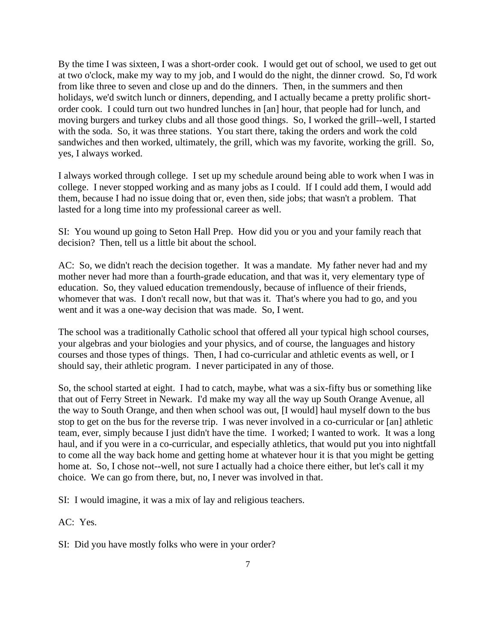By the time I was sixteen, I was a short-order cook. I would get out of school, we used to get out at two o'clock, make my way to my job, and I would do the night, the dinner crowd. So, I'd work from like three to seven and close up and do the dinners. Then, in the summers and then holidays, we'd switch lunch or dinners, depending, and I actually became a pretty prolific shortorder cook. I could turn out two hundred lunches in [an] hour, that people had for lunch, and moving burgers and turkey clubs and all those good things. So, I worked the grill--well, I started with the soda. So, it was three stations. You start there, taking the orders and work the cold sandwiches and then worked, ultimately, the grill, which was my favorite, working the grill. So, yes, I always worked.

I always worked through college. I set up my schedule around being able to work when I was in college. I never stopped working and as many jobs as I could. If I could add them, I would add them, because I had no issue doing that or, even then, side jobs; that wasn't a problem. That lasted for a long time into my professional career as well.

SI: You wound up going to Seton Hall Prep. How did you or you and your family reach that decision? Then, tell us a little bit about the school.

AC: So, we didn't reach the decision together. It was a mandate. My father never had and my mother never had more than a fourth-grade education, and that was it, very elementary type of education. So, they valued education tremendously, because of influence of their friends, whomever that was. I don't recall now, but that was it. That's where you had to go, and you went and it was a one-way decision that was made. So, I went.

The school was a traditionally Catholic school that offered all your typical high school courses, your algebras and your biologies and your physics, and of course, the languages and history courses and those types of things. Then, I had co-curricular and athletic events as well, or I should say, their athletic program. I never participated in any of those.

So, the school started at eight. I had to catch, maybe, what was a six-fifty bus or something like that out of Ferry Street in Newark. I'd make my way all the way up South Orange Avenue, all the way to South Orange, and then when school was out, [I would] haul myself down to the bus stop to get on the bus for the reverse trip. I was never involved in a co-curricular or [an] athletic team, ever, simply because I just didn't have the time. I worked; I wanted to work. It was a long haul, and if you were in a co-curricular, and especially athletics, that would put you into nightfall to come all the way back home and getting home at whatever hour it is that you might be getting home at. So, I chose not--well, not sure I actually had a choice there either, but let's call it my choice. We can go from there, but, no, I never was involved in that.

SI: I would imagine, it was a mix of lay and religious teachers.

AC: Yes.

SI: Did you have mostly folks who were in your order?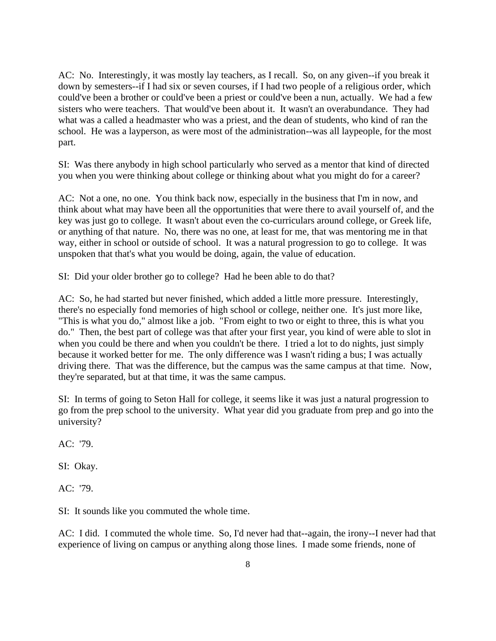AC: No. Interestingly, it was mostly lay teachers, as I recall. So, on any given--if you break it down by semesters--if I had six or seven courses, if I had two people of a religious order, which could've been a brother or could've been a priest or could've been a nun, actually. We had a few sisters who were teachers. That would've been about it. It wasn't an overabundance. They had what was a called a headmaster who was a priest, and the dean of students, who kind of ran the school. He was a layperson, as were most of the administration--was all laypeople, for the most part.

SI: Was there anybody in high school particularly who served as a mentor that kind of directed you when you were thinking about college or thinking about what you might do for a career?

AC: Not a one, no one. You think back now, especially in the business that I'm in now, and think about what may have been all the opportunities that were there to avail yourself of, and the key was just go to college. It wasn't about even the co-curriculars around college, or Greek life, or anything of that nature. No, there was no one, at least for me, that was mentoring me in that way, either in school or outside of school. It was a natural progression to go to college. It was unspoken that that's what you would be doing, again, the value of education.

SI: Did your older brother go to college? Had he been able to do that?

AC: So, he had started but never finished, which added a little more pressure. Interestingly, there's no especially fond memories of high school or college, neither one. It's just more like, "This is what you do," almost like a job. "From eight to two or eight to three, this is what you do." Then, the best part of college was that after your first year, you kind of were able to slot in when you could be there and when you couldn't be there. I tried a lot to do nights, just simply because it worked better for me. The only difference was I wasn't riding a bus; I was actually driving there. That was the difference, but the campus was the same campus at that time. Now, they're separated, but at that time, it was the same campus.

SI: In terms of going to Seton Hall for college, it seems like it was just a natural progression to go from the prep school to the university. What year did you graduate from prep and go into the university?

AC: '79.

SI: Okay.

AC: '79.

SI: It sounds like you commuted the whole time.

AC: I did. I commuted the whole time. So, I'd never had that--again, the irony--I never had that experience of living on campus or anything along those lines. I made some friends, none of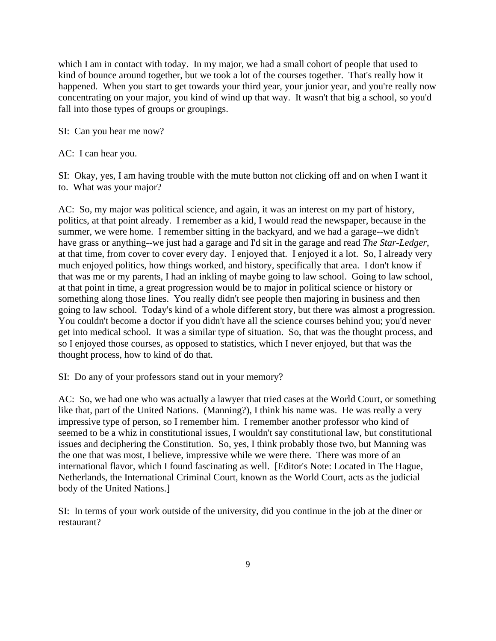which I am in contact with today. In my major, we had a small cohort of people that used to kind of bounce around together, but we took a lot of the courses together. That's really how it happened. When you start to get towards your third year, your junior year, and you're really now concentrating on your major, you kind of wind up that way. It wasn't that big a school, so you'd fall into those types of groups or groupings.

SI: Can you hear me now?

AC: I can hear you.

SI: Okay, yes, I am having trouble with the mute button not clicking off and on when I want it to. What was your major?

AC: So, my major was political science, and again, it was an interest on my part of history, politics, at that point already. I remember as a kid, I would read the newspaper, because in the summer, we were home. I remember sitting in the backyard, and we had a garage--we didn't have grass or anything--we just had a garage and I'd sit in the garage and read *The Star-Ledger*, at that time, from cover to cover every day. I enjoyed that. I enjoyed it a lot. So, I already very much enjoyed politics, how things worked, and history, specifically that area. I don't know if that was me or my parents, I had an inkling of maybe going to law school. Going to law school, at that point in time, a great progression would be to major in political science or history or something along those lines. You really didn't see people then majoring in business and then going to law school. Today's kind of a whole different story, but there was almost a progression. You couldn't become a doctor if you didn't have all the science courses behind you; you'd never get into medical school. It was a similar type of situation. So, that was the thought process, and so I enjoyed those courses, as opposed to statistics, which I never enjoyed, but that was the thought process, how to kind of do that.

SI: Do any of your professors stand out in your memory?

AC: So, we had one who was actually a lawyer that tried cases at the World Court, or something like that, part of the United Nations. (Manning?), I think his name was. He was really a very impressive type of person, so I remember him. I remember another professor who kind of seemed to be a whiz in constitutional issues, I wouldn't say constitutional law, but constitutional issues and deciphering the Constitution. So, yes, I think probably those two, but Manning was the one that was most, I believe, impressive while we were there. There was more of an international flavor, which I found fascinating as well. [Editor's Note: Located in The Hague, Netherlands, the International Criminal Court, known as the World Court, acts as the judicial body of the United Nations.]

SI: In terms of your work outside of the university, did you continue in the job at the diner or restaurant?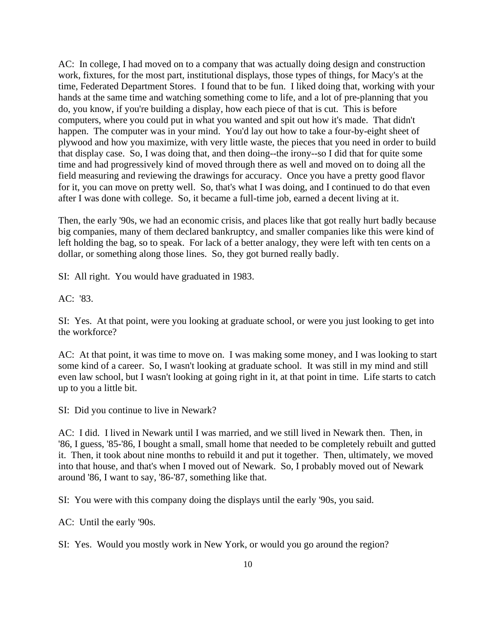AC: In college, I had moved on to a company that was actually doing design and construction work, fixtures, for the most part, institutional displays, those types of things, for Macy's at the time, Federated Department Stores. I found that to be fun. I liked doing that, working with your hands at the same time and watching something come to life, and a lot of pre-planning that you do, you know, if you're building a display, how each piece of that is cut. This is before computers, where you could put in what you wanted and spit out how it's made. That didn't happen. The computer was in your mind. You'd lay out how to take a four-by-eight sheet of plywood and how you maximize, with very little waste, the pieces that you need in order to build that display case. So, I was doing that, and then doing--the irony--so I did that for quite some time and had progressively kind of moved through there as well and moved on to doing all the field measuring and reviewing the drawings for accuracy. Once you have a pretty good flavor for it, you can move on pretty well. So, that's what I was doing, and I continued to do that even after I was done with college. So, it became a full-time job, earned a decent living at it.

Then, the early '90s, we had an economic crisis, and places like that got really hurt badly because big companies, many of them declared bankruptcy, and smaller companies like this were kind of left holding the bag, so to speak. For lack of a better analogy, they were left with ten cents on a dollar, or something along those lines. So, they got burned really badly.

SI: All right. You would have graduated in 1983.

AC: '83.

SI: Yes. At that point, were you looking at graduate school, or were you just looking to get into the workforce?

AC: At that point, it was time to move on. I was making some money, and I was looking to start some kind of a career. So, I wasn't looking at graduate school. It was still in my mind and still even law school, but I wasn't looking at going right in it, at that point in time. Life starts to catch up to you a little bit.

SI: Did you continue to live in Newark?

AC: I did. I lived in Newark until I was married, and we still lived in Newark then. Then, in '86, I guess, '85-'86, I bought a small, small home that needed to be completely rebuilt and gutted it. Then, it took about nine months to rebuild it and put it together. Then, ultimately, we moved into that house, and that's when I moved out of Newark. So, I probably moved out of Newark around '86, I want to say, '86-'87, something like that.

SI: You were with this company doing the displays until the early '90s, you said.

AC: Until the early '90s.

SI: Yes. Would you mostly work in New York, or would you go around the region?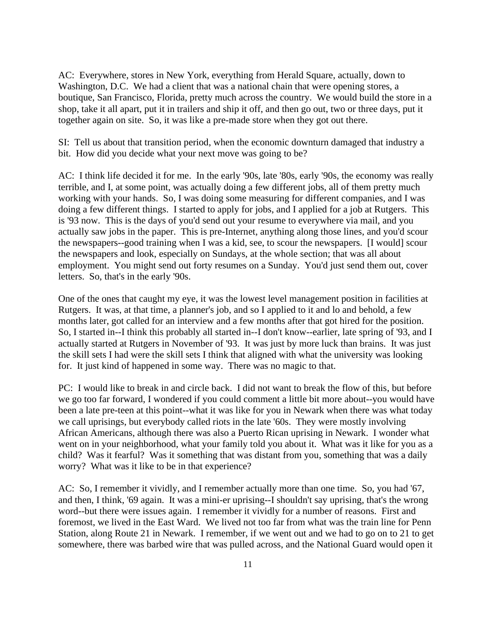AC: Everywhere, stores in New York, everything from Herald Square, actually, down to Washington, D.C. We had a client that was a national chain that were opening stores, a boutique, San Francisco, Florida, pretty much across the country. We would build the store in a shop, take it all apart, put it in trailers and ship it off, and then go out, two or three days, put it together again on site. So, it was like a pre-made store when they got out there.

SI: Tell us about that transition period, when the economic downturn damaged that industry a bit. How did you decide what your next move was going to be?

AC: I think life decided it for me. In the early '90s, late '80s, early '90s, the economy was really terrible, and I, at some point, was actually doing a few different jobs, all of them pretty much working with your hands. So, I was doing some measuring for different companies, and I was doing a few different things. I started to apply for jobs, and I applied for a job at Rutgers. This is '93 now. This is the days of you'd send out your resume to everywhere via mail, and you actually saw jobs in the paper. This is pre-Internet, anything along those lines, and you'd scour the newspapers--good training when I was a kid, see, to scour the newspapers. [I would] scour the newspapers and look, especially on Sundays, at the whole section; that was all about employment. You might send out forty resumes on a Sunday. You'd just send them out, cover letters. So, that's in the early '90s.

One of the ones that caught my eye, it was the lowest level management position in facilities at Rutgers. It was, at that time, a planner's job, and so I applied to it and lo and behold, a few months later, got called for an interview and a few months after that got hired for the position. So, I started in--I think this probably all started in--I don't know--earlier, late spring of '93, and I actually started at Rutgers in November of '93. It was just by more luck than brains. It was just the skill sets I had were the skill sets I think that aligned with what the university was looking for. It just kind of happened in some way. There was no magic to that.

PC: I would like to break in and circle back. I did not want to break the flow of this, but before we go too far forward, I wondered if you could comment a little bit more about--you would have been a late pre-teen at this point--what it was like for you in Newark when there was what today we call uprisings, but everybody called riots in the late '60s. They were mostly involving African Americans, although there was also a Puerto Rican uprising in Newark. I wonder what went on in your neighborhood, what your family told you about it. What was it like for you as a child? Was it fearful? Was it something that was distant from you, something that was a daily worry? What was it like to be in that experience?

AC: So, I remember it vividly, and I remember actually more than one time. So, you had '67, and then, I think, '69 again. It was a mini-er uprising--I shouldn't say uprising, that's the wrong word--but there were issues again. I remember it vividly for a number of reasons. First and foremost, we lived in the East Ward. We lived not too far from what was the train line for Penn Station, along Route 21 in Newark. I remember, if we went out and we had to go on to 21 to get somewhere, there was barbed wire that was pulled across, and the National Guard would open it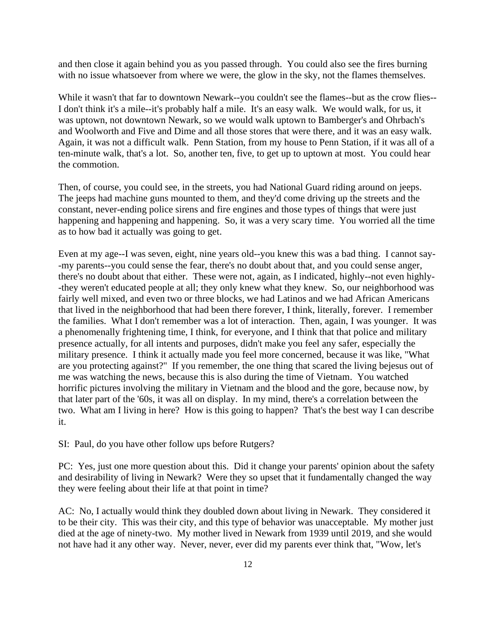and then close it again behind you as you passed through. You could also see the fires burning with no issue whatsoever from where we were, the glow in the sky, not the flames themselves.

While it wasn't that far to downtown Newark--you couldn't see the flames--but as the crow flies-- I don't think it's a mile--it's probably half a mile. It's an easy walk. We would walk, for us, it was uptown, not downtown Newark, so we would walk uptown to Bamberger's and Ohrbach's and Woolworth and Five and Dime and all those stores that were there, and it was an easy walk. Again, it was not a difficult walk. Penn Station, from my house to Penn Station, if it was all of a ten-minute walk, that's a lot. So, another ten, five, to get up to uptown at most. You could hear the commotion.

Then, of course, you could see, in the streets, you had National Guard riding around on jeeps. The jeeps had machine guns mounted to them, and they'd come driving up the streets and the constant, never-ending police sirens and fire engines and those types of things that were just happening and happening and happening. So, it was a very scary time. You worried all the time as to how bad it actually was going to get.

Even at my age--I was seven, eight, nine years old--you knew this was a bad thing. I cannot say- -my parents--you could sense the fear, there's no doubt about that, and you could sense anger, there's no doubt about that either. These were not, again, as I indicated, highly--not even highly- -they weren't educated people at all; they only knew what they knew. So, our neighborhood was fairly well mixed, and even two or three blocks, we had Latinos and we had African Americans that lived in the neighborhood that had been there forever, I think, literally, forever. I remember the families. What I don't remember was a lot of interaction. Then, again, I was younger. It was a phenomenally frightening time, I think, for everyone, and I think that that police and military presence actually, for all intents and purposes, didn't make you feel any safer, especially the military presence. I think it actually made you feel more concerned, because it was like, "What are you protecting against?" If you remember, the one thing that scared the living bejesus out of me was watching the news, because this is also during the time of Vietnam. You watched horrific pictures involving the military in Vietnam and the blood and the gore, because now, by that later part of the '60s, it was all on display. In my mind, there's a correlation between the two. What am I living in here? How is this going to happen? That's the best way I can describe it.

SI: Paul, do you have other follow ups before Rutgers?

PC: Yes, just one more question about this. Did it change your parents' opinion about the safety and desirability of living in Newark? Were they so upset that it fundamentally changed the way they were feeling about their life at that point in time?

AC: No, I actually would think they doubled down about living in Newark. They considered it to be their city. This was their city, and this type of behavior was unacceptable. My mother just died at the age of ninety-two. My mother lived in Newark from 1939 until 2019, and she would not have had it any other way. Never, never, ever did my parents ever think that, "Wow, let's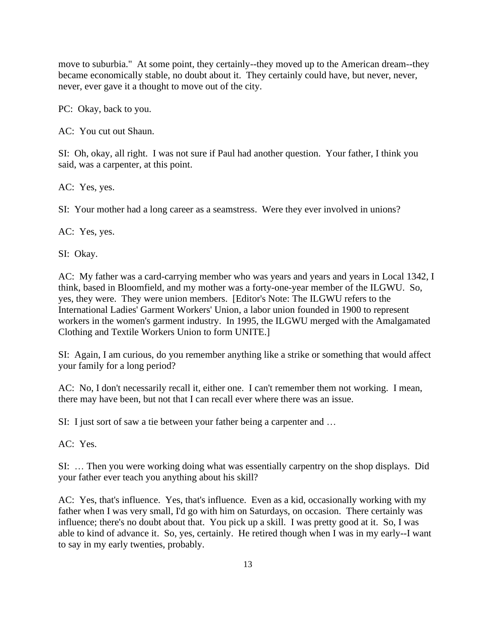move to suburbia." At some point, they certainly--they moved up to the American dream--they became economically stable, no doubt about it. They certainly could have, but never, never, never, ever gave it a thought to move out of the city.

PC: Okay, back to you.

AC: You cut out Shaun.

SI: Oh, okay, all right. I was not sure if Paul had another question. Your father, I think you said, was a carpenter, at this point.

AC: Yes, yes.

SI: Your mother had a long career as a seamstress. Were they ever involved in unions?

AC: Yes, yes.

SI: Okay.

AC: My father was a card-carrying member who was years and years and years in Local 1342, I think, based in Bloomfield, and my mother was a forty-one-year member of the ILGWU. So, yes, they were. They were union members. [Editor's Note: The ILGWU refers to the International Ladies' Garment Workers' Union, a labor union founded in 1900 to represent workers in the women's garment industry. In 1995, the ILGWU merged with the Amalgamated Clothing and Textile Workers Union to form UNITE.]

SI: Again, I am curious, do you remember anything like a strike or something that would affect your family for a long period?

AC: No, I don't necessarily recall it, either one. I can't remember them not working. I mean, there may have been, but not that I can recall ever where there was an issue.

SI: I just sort of saw a tie between your father being a carpenter and …

AC: Yes.

SI: … Then you were working doing what was essentially carpentry on the shop displays. Did your father ever teach you anything about his skill?

AC: Yes, that's influence. Yes, that's influence. Even as a kid, occasionally working with my father when I was very small, I'd go with him on Saturdays, on occasion. There certainly was influence; there's no doubt about that. You pick up a skill. I was pretty good at it. So, I was able to kind of advance it. So, yes, certainly. He retired though when I was in my early--I want to say in my early twenties, probably.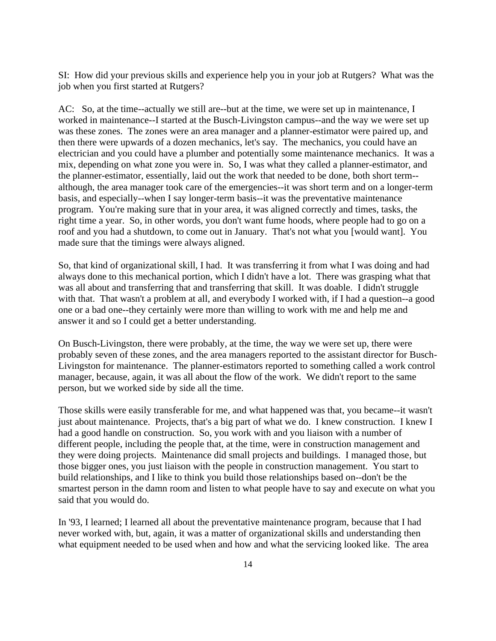SI: How did your previous skills and experience help you in your job at Rutgers? What was the job when you first started at Rutgers?

AC: So, at the time--actually we still are--but at the time, we were set up in maintenance, I worked in maintenance--I started at the Busch-Livingston campus--and the way we were set up was these zones. The zones were an area manager and a planner-estimator were paired up, and then there were upwards of a dozen mechanics, let's say. The mechanics, you could have an electrician and you could have a plumber and potentially some maintenance mechanics. It was a mix, depending on what zone you were in. So, I was what they called a planner-estimator, and the planner-estimator, essentially, laid out the work that needed to be done, both short term- although, the area manager took care of the emergencies--it was short term and on a longer-term basis, and especially--when I say longer-term basis--it was the preventative maintenance program. You're making sure that in your area, it was aligned correctly and times, tasks, the right time a year. So, in other words, you don't want fume hoods, where people had to go on a roof and you had a shutdown, to come out in January. That's not what you [would want]. You made sure that the timings were always aligned.

So, that kind of organizational skill, I had. It was transferring it from what I was doing and had always done to this mechanical portion, which I didn't have a lot. There was grasping what that was all about and transferring that and transferring that skill. It was doable. I didn't struggle with that. That wasn't a problem at all, and everybody I worked with, if I had a question--a good one or a bad one--they certainly were more than willing to work with me and help me and answer it and so I could get a better understanding.

On Busch-Livingston, there were probably, at the time, the way we were set up, there were probably seven of these zones, and the area managers reported to the assistant director for Busch-Livingston for maintenance. The planner-estimators reported to something called a work control manager, because, again, it was all about the flow of the work. We didn't report to the same person, but we worked side by side all the time.

Those skills were easily transferable for me, and what happened was that, you became--it wasn't just about maintenance. Projects, that's a big part of what we do. I knew construction. I knew I had a good handle on construction. So, you work with and you liaison with a number of different people, including the people that, at the time, were in construction management and they were doing projects. Maintenance did small projects and buildings. I managed those, but those bigger ones, you just liaison with the people in construction management. You start to build relationships, and I like to think you build those relationships based on--don't be the smartest person in the damn room and listen to what people have to say and execute on what you said that you would do.

In '93, I learned; I learned all about the preventative maintenance program, because that I had never worked with, but, again, it was a matter of organizational skills and understanding then what equipment needed to be used when and how and what the servicing looked like. The area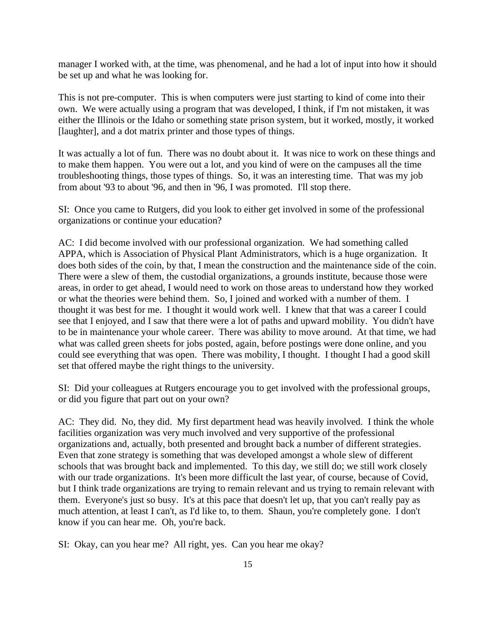manager I worked with, at the time, was phenomenal, and he had a lot of input into how it should be set up and what he was looking for.

This is not pre-computer. This is when computers were just starting to kind of come into their own. We were actually using a program that was developed, I think, if I'm not mistaken, it was either the Illinois or the Idaho or something state prison system, but it worked, mostly, it worked [laughter], and a dot matrix printer and those types of things.

It was actually a lot of fun. There was no doubt about it. It was nice to work on these things and to make them happen. You were out a lot, and you kind of were on the campuses all the time troubleshooting things, those types of things. So, it was an interesting time. That was my job from about '93 to about '96, and then in '96, I was promoted. I'll stop there.

SI: Once you came to Rutgers, did you look to either get involved in some of the professional organizations or continue your education?

AC: I did become involved with our professional organization. We had something called APPA, which is Association of Physical Plant Administrators, which is a huge organization. It does both sides of the coin, by that, I mean the construction and the maintenance side of the coin. There were a slew of them, the custodial organizations, a grounds institute, because those were areas, in order to get ahead, I would need to work on those areas to understand how they worked or what the theories were behind them. So, I joined and worked with a number of them. I thought it was best for me. I thought it would work well. I knew that that was a career I could see that I enjoyed, and I saw that there were a lot of paths and upward mobility. You didn't have to be in maintenance your whole career. There was ability to move around. At that time, we had what was called green sheets for jobs posted, again, before postings were done online, and you could see everything that was open. There was mobility, I thought. I thought I had a good skill set that offered maybe the right things to the university.

SI: Did your colleagues at Rutgers encourage you to get involved with the professional groups, or did you figure that part out on your own?

AC: They did. No, they did. My first department head was heavily involved. I think the whole facilities organization was very much involved and very supportive of the professional organizations and, actually, both presented and brought back a number of different strategies. Even that zone strategy is something that was developed amongst a whole slew of different schools that was brought back and implemented. To this day, we still do; we still work closely with our trade organizations. It's been more difficult the last year, of course, because of Covid, but I think trade organizations are trying to remain relevant and us trying to remain relevant with them. Everyone's just so busy. It's at this pace that doesn't let up, that you can't really pay as much attention, at least I can't, as I'd like to, to them. Shaun, you're completely gone. I don't know if you can hear me. Oh, you're back.

SI: Okay, can you hear me? All right, yes. Can you hear me okay?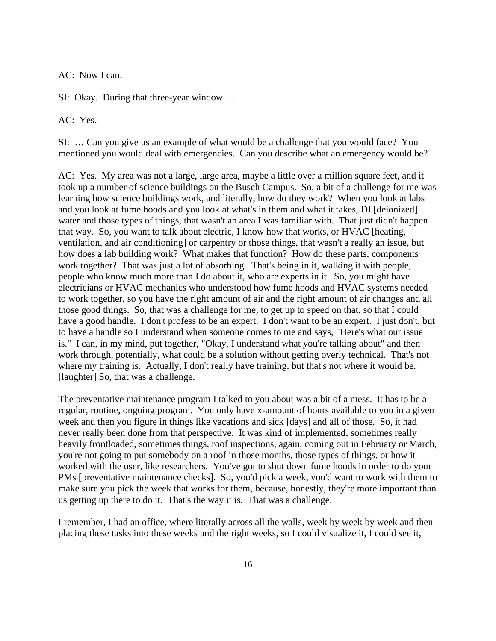AC: Now I can.

SI: Okay. During that three-year window …

AC: Yes.

SI: … Can you give us an example of what would be a challenge that you would face? You mentioned you would deal with emergencies. Can you describe what an emergency would be?

AC: Yes. My area was not a large, large area, maybe a little over a million square feet, and it took up a number of science buildings on the Busch Campus. So, a bit of a challenge for me was learning how science buildings work, and literally, how do they work? When you look at labs and you look at fume hoods and you look at what's in them and what it takes, DI [deionized] water and those types of things, that wasn't an area I was familiar with. That just didn't happen that way. So, you want to talk about electric, I know how that works, or HVAC [heating, ventilation, and air conditioning] or carpentry or those things, that wasn't a really an issue, but how does a lab building work? What makes that function? How do these parts, components work together? That was just a lot of absorbing. That's being in it, walking it with people, people who know much more than I do about it, who are experts in it. So, you might have electricians or HVAC mechanics who understood how fume hoods and HVAC systems needed to work together, so you have the right amount of air and the right amount of air changes and all those good things. So, that was a challenge for me, to get up to speed on that, so that I could have a good handle. I don't profess to be an expert. I don't want to be an expert. I just don't, but to have a handle so I understand when someone comes to me and says, "Here's what our issue is." I can, in my mind, put together, "Okay, I understand what you're talking about" and then work through, potentially, what could be a solution without getting overly technical. That's not where my training is. Actually, I don't really have training, but that's not where it would be. [laughter] So, that was a challenge.

The preventative maintenance program I talked to you about was a bit of a mess. It has to be a regular, routine, ongoing program. You only have x-amount of hours available to you in a given week and then you figure in things like vacations and sick [days] and all of those. So, it had never really been done from that perspective. It was kind of implemented, sometimes really heavily frontloaded, sometimes things, roof inspections, again, coming out in February or March, you're not going to put somebody on a roof in those months, those types of things, or how it worked with the user, like researchers. You've got to shut down fume hoods in order to do your PMs [preventative maintenance checks]. So, you'd pick a week, you'd want to work with them to make sure you pick the week that works for them, because, honestly, they're more important than us getting up there to do it. That's the way it is. That was a challenge.

I remember, I had an office, where literally across all the walls, week by week by week and then placing these tasks into these weeks and the right weeks, so I could visualize it, I could see it,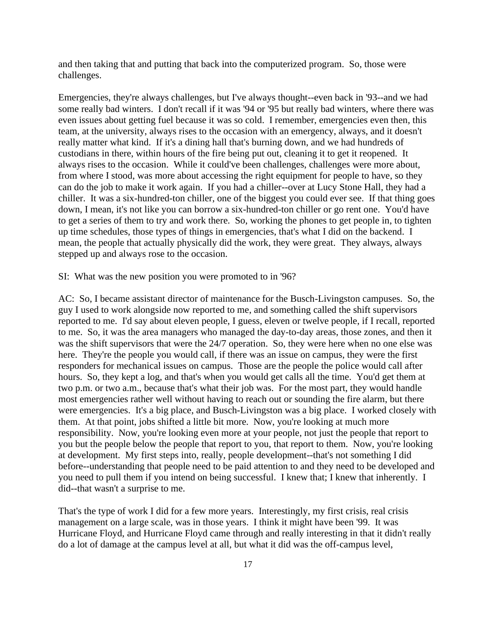and then taking that and putting that back into the computerized program. So, those were challenges.

Emergencies, they're always challenges, but I've always thought--even back in '93--and we had some really bad winters. I don't recall if it was '94 or '95 but really bad winters, where there was even issues about getting fuel because it was so cold. I remember, emergencies even then, this team, at the university, always rises to the occasion with an emergency, always, and it doesn't really matter what kind. If it's a dining hall that's burning down, and we had hundreds of custodians in there, within hours of the fire being put out, cleaning it to get it reopened. It always rises to the occasion. While it could've been challenges, challenges were more about, from where I stood, was more about accessing the right equipment for people to have, so they can do the job to make it work again. If you had a chiller--over at Lucy Stone Hall, they had a chiller. It was a six-hundred-ton chiller, one of the biggest you could ever see. If that thing goes down, I mean, it's not like you can borrow a six-hundred-ton chiller or go rent one. You'd have to get a series of them to try and work there. So, working the phones to get people in, to tighten up time schedules, those types of things in emergencies, that's what I did on the backend. I mean, the people that actually physically did the work, they were great. They always, always stepped up and always rose to the occasion.

SI: What was the new position you were promoted to in '96?

AC: So, I became assistant director of maintenance for the Busch-Livingston campuses. So, the guy I used to work alongside now reported to me, and something called the shift supervisors reported to me. I'd say about eleven people, I guess, eleven or twelve people, if I recall, reported to me. So, it was the area managers who managed the day-to-day areas, those zones, and then it was the shift supervisors that were the 24/7 operation. So, they were here when no one else was here. They're the people you would call, if there was an issue on campus, they were the first responders for mechanical issues on campus. Those are the people the police would call after hours. So, they kept a log, and that's when you would get calls all the time. You'd get them at two p.m. or two a.m., because that's what their job was. For the most part, they would handle most emergencies rather well without having to reach out or sounding the fire alarm, but there were emergencies. It's a big place, and Busch-Livingston was a big place. I worked closely with them. At that point, jobs shifted a little bit more. Now, you're looking at much more responsibility. Now, you're looking even more at your people, not just the people that report to you but the people below the people that report to you, that report to them. Now, you're looking at development. My first steps into, really, people development--that's not something I did before--understanding that people need to be paid attention to and they need to be developed and you need to pull them if you intend on being successful. I knew that; I knew that inherently. I did--that wasn't a surprise to me.

That's the type of work I did for a few more years. Interestingly, my first crisis, real crisis management on a large scale, was in those years. I think it might have been '99. It was Hurricane Floyd, and Hurricane Floyd came through and really interesting in that it didn't really do a lot of damage at the campus level at all, but what it did was the off-campus level,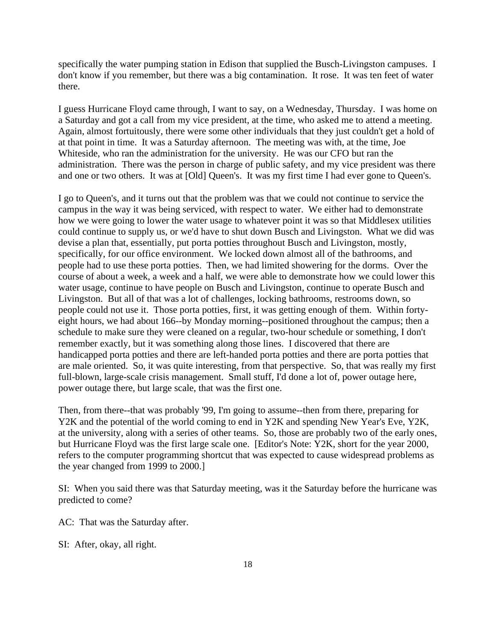specifically the water pumping station in Edison that supplied the Busch-Livingston campuses. I don't know if you remember, but there was a big contamination. It rose. It was ten feet of water there.

I guess Hurricane Floyd came through, I want to say, on a Wednesday, Thursday. I was home on a Saturday and got a call from my vice president, at the time, who asked me to attend a meeting. Again, almost fortuitously, there were some other individuals that they just couldn't get a hold of at that point in time. It was a Saturday afternoon. The meeting was with, at the time, Joe Whiteside, who ran the administration for the university. He was our CFO but ran the administration. There was the person in charge of public safety, and my vice president was there and one or two others. It was at [Old] Queen's. It was my first time I had ever gone to Queen's.

I go to Queen's, and it turns out that the problem was that we could not continue to service the campus in the way it was being serviced, with respect to water. We either had to demonstrate how we were going to lower the water usage to whatever point it was so that Middlesex utilities could continue to supply us, or we'd have to shut down Busch and Livingston. What we did was devise a plan that, essentially, put porta potties throughout Busch and Livingston, mostly, specifically, for our office environment. We locked down almost all of the bathrooms, and people had to use these porta potties. Then, we had limited showering for the dorms. Over the course of about a week, a week and a half, we were able to demonstrate how we could lower this water usage, continue to have people on Busch and Livingston, continue to operate Busch and Livingston. But all of that was a lot of challenges, locking bathrooms, restrooms down, so people could not use it. Those porta potties, first, it was getting enough of them. Within fortyeight hours, we had about 166--by Monday morning--positioned throughout the campus; then a schedule to make sure they were cleaned on a regular, two-hour schedule or something, I don't remember exactly, but it was something along those lines. I discovered that there are handicapped porta potties and there are left-handed porta potties and there are porta potties that are male oriented. So, it was quite interesting, from that perspective. So, that was really my first full-blown, large-scale crisis management. Small stuff, I'd done a lot of, power outage here, power outage there, but large scale, that was the first one.

Then, from there--that was probably '99, I'm going to assume--then from there, preparing for Y2K and the potential of the world coming to end in Y2K and spending New Year's Eve, Y2K, at the university, along with a series of other teams. So, those are probably two of the early ones, but Hurricane Floyd was the first large scale one. [Editor's Note: Y2K, short for the year 2000, refers to the computer programming shortcut that was expected to cause widespread problems as the year changed from 1999 to 2000.]

SI: When you said there was that Saturday meeting, was it the Saturday before the hurricane was predicted to come?

AC: That was the Saturday after.

SI: After, okay, all right.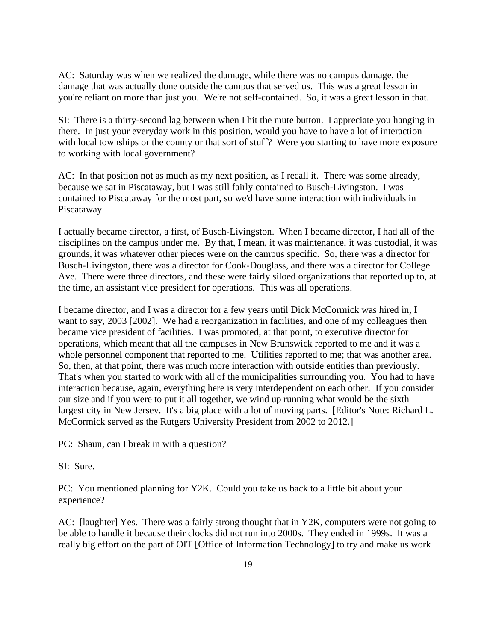AC: Saturday was when we realized the damage, while there was no campus damage, the damage that was actually done outside the campus that served us. This was a great lesson in you're reliant on more than just you. We're not self-contained. So, it was a great lesson in that.

SI: There is a thirty-second lag between when I hit the mute button. I appreciate you hanging in there. In just your everyday work in this position, would you have to have a lot of interaction with local townships or the county or that sort of stuff? Were you starting to have more exposure to working with local government?

AC: In that position not as much as my next position, as I recall it. There was some already, because we sat in Piscataway, but I was still fairly contained to Busch-Livingston. I was contained to Piscataway for the most part, so we'd have some interaction with individuals in Piscataway.

I actually became director, a first, of Busch-Livingston. When I became director, I had all of the disciplines on the campus under me. By that, I mean, it was maintenance, it was custodial, it was grounds, it was whatever other pieces were on the campus specific. So, there was a director for Busch-Livingston, there was a director for Cook-Douglass, and there was a director for College Ave. There were three directors, and these were fairly siloed organizations that reported up to, at the time, an assistant vice president for operations. This was all operations.

I became director, and I was a director for a few years until Dick McCormick was hired in, I want to say, 2003 [2002]. We had a reorganization in facilities, and one of my colleagues then became vice president of facilities. I was promoted, at that point, to executive director for operations, which meant that all the campuses in New Brunswick reported to me and it was a whole personnel component that reported to me. Utilities reported to me; that was another area. So, then, at that point, there was much more interaction with outside entities than previously. That's when you started to work with all of the municipalities surrounding you. You had to have interaction because, again, everything here is very interdependent on each other. If you consider our size and if you were to put it all together, we wind up running what would be the sixth largest city in New Jersey. It's a big place with a lot of moving parts. [Editor's Note: Richard L. McCormick served as the Rutgers University President from 2002 to 2012.]

PC: Shaun, can I break in with a question?

SI: Sure.

PC: You mentioned planning for Y2K. Could you take us back to a little bit about your experience?

AC: [laughter] Yes. There was a fairly strong thought that in Y2K, computers were not going to be able to handle it because their clocks did not run into 2000s. They ended in 1999s. It was a really big effort on the part of OIT [Office of Information Technology] to try and make us work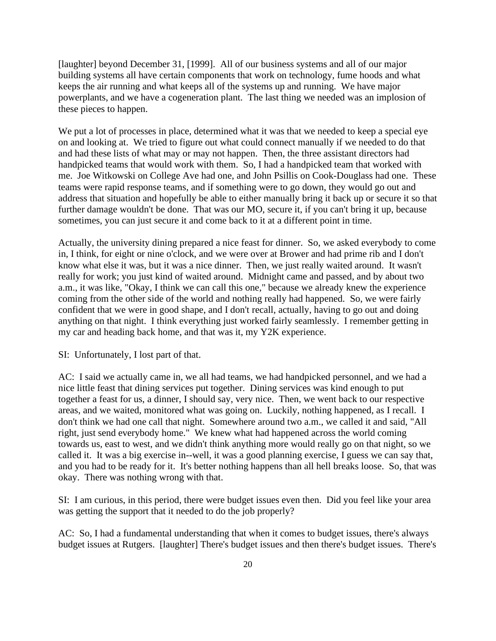[laughter] beyond December 31, [1999]. All of our business systems and all of our major building systems all have certain components that work on technology, fume hoods and what keeps the air running and what keeps all of the systems up and running. We have major powerplants, and we have a cogeneration plant. The last thing we needed was an implosion of these pieces to happen.

We put a lot of processes in place, determined what it was that we needed to keep a special eye on and looking at. We tried to figure out what could connect manually if we needed to do that and had these lists of what may or may not happen. Then, the three assistant directors had handpicked teams that would work with them. So, I had a handpicked team that worked with me. Joe Witkowski on College Ave had one, and John Psillis on Cook-Douglass had one. These teams were rapid response teams, and if something were to go down, they would go out and address that situation and hopefully be able to either manually bring it back up or secure it so that further damage wouldn't be done. That was our MO, secure it, if you can't bring it up, because sometimes, you can just secure it and come back to it at a different point in time.

Actually, the university dining prepared a nice feast for dinner. So, we asked everybody to come in, I think, for eight or nine o'clock, and we were over at Brower and had prime rib and I don't know what else it was, but it was a nice dinner. Then, we just really waited around. It wasn't really for work; you just kind of waited around. Midnight came and passed, and by about two a.m., it was like, "Okay, I think we can call this one," because we already knew the experience coming from the other side of the world and nothing really had happened. So, we were fairly confident that we were in good shape, and I don't recall, actually, having to go out and doing anything on that night. I think everything just worked fairly seamlessly. I remember getting in my car and heading back home, and that was it, my Y2K experience.

SI: Unfortunately, I lost part of that.

AC: I said we actually came in, we all had teams, we had handpicked personnel, and we had a nice little feast that dining services put together. Dining services was kind enough to put together a feast for us, a dinner, I should say, very nice. Then, we went back to our respective areas, and we waited, monitored what was going on. Luckily, nothing happened, as I recall. I don't think we had one call that night. Somewhere around two a.m., we called it and said, "All right, just send everybody home." We knew what had happened across the world coming towards us, east to west, and we didn't think anything more would really go on that night, so we called it. It was a big exercise in--well, it was a good planning exercise, I guess we can say that, and you had to be ready for it. It's better nothing happens than all hell breaks loose. So, that was okay. There was nothing wrong with that.

SI: I am curious, in this period, there were budget issues even then. Did you feel like your area was getting the support that it needed to do the job properly?

AC: So, I had a fundamental understanding that when it comes to budget issues, there's always budget issues at Rutgers. [laughter] There's budget issues and then there's budget issues. There's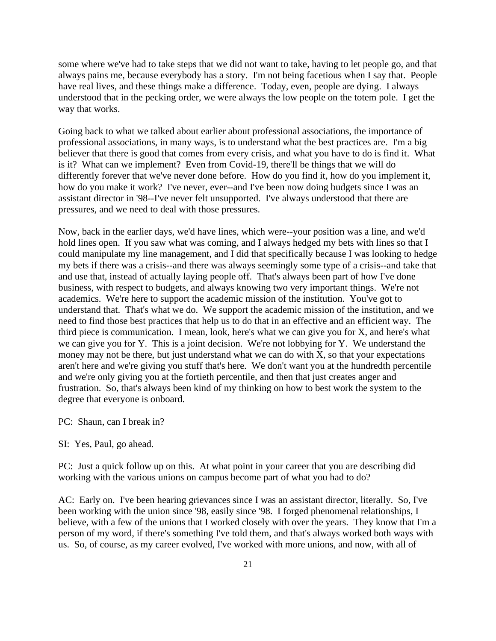some where we've had to take steps that we did not want to take, having to let people go, and that always pains me, because everybody has a story. I'm not being facetious when I say that. People have real lives, and these things make a difference. Today, even, people are dying. I always understood that in the pecking order, we were always the low people on the totem pole. I get the way that works.

Going back to what we talked about earlier about professional associations, the importance of professional associations, in many ways, is to understand what the best practices are. I'm a big believer that there is good that comes from every crisis, and what you have to do is find it. What is it? What can we implement? Even from Covid-19, there'll be things that we will do differently forever that we've never done before. How do you find it, how do you implement it, how do you make it work? I've never, ever--and I've been now doing budgets since I was an assistant director in '98--I've never felt unsupported. I've always understood that there are pressures, and we need to deal with those pressures.

Now, back in the earlier days, we'd have lines, which were--your position was a line, and we'd hold lines open. If you saw what was coming, and I always hedged my bets with lines so that I could manipulate my line management, and I did that specifically because I was looking to hedge my bets if there was a crisis--and there was always seemingly some type of a crisis--and take that and use that, instead of actually laying people off. That's always been part of how I've done business, with respect to budgets, and always knowing two very important things. We're not academics. We're here to support the academic mission of the institution. You've got to understand that. That's what we do. We support the academic mission of the institution, and we need to find those best practices that help us to do that in an effective and an efficient way. The third piece is communication. I mean, look, here's what we can give you for X, and here's what we can give you for Y. This is a joint decision. We're not lobbying for Y. We understand the money may not be there, but just understand what we can do with X, so that your expectations aren't here and we're giving you stuff that's here. We don't want you at the hundredth percentile and we're only giving you at the fortieth percentile, and then that just creates anger and frustration. So, that's always been kind of my thinking on how to best work the system to the degree that everyone is onboard.

PC: Shaun, can I break in?

SI: Yes, Paul, go ahead.

PC: Just a quick follow up on this. At what point in your career that you are describing did working with the various unions on campus become part of what you had to do?

AC: Early on. I've been hearing grievances since I was an assistant director, literally. So, I've been working with the union since '98, easily since '98. I forged phenomenal relationships, I believe, with a few of the unions that I worked closely with over the years. They know that I'm a person of my word, if there's something I've told them, and that's always worked both ways with us. So, of course, as my career evolved, I've worked with more unions, and now, with all of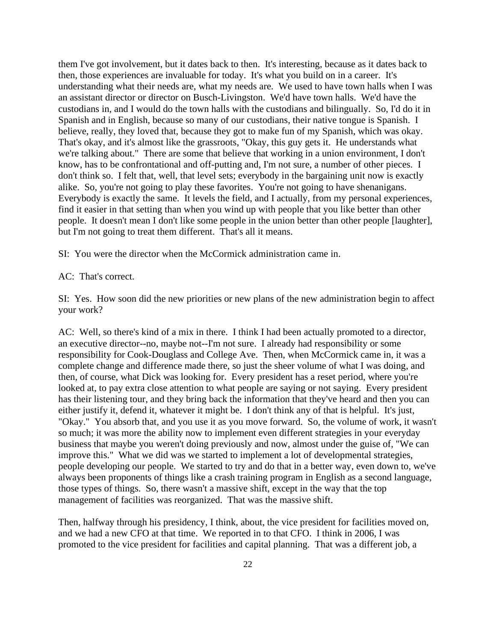them I've got involvement, but it dates back to then. It's interesting, because as it dates back to then, those experiences are invaluable for today. It's what you build on in a career. It's understanding what their needs are, what my needs are. We used to have town halls when I was an assistant director or director on Busch-Livingston. We'd have town halls. We'd have the custodians in, and I would do the town halls with the custodians and bilingually. So, I'd do it in Spanish and in English, because so many of our custodians, their native tongue is Spanish. I believe, really, they loved that, because they got to make fun of my Spanish, which was okay. That's okay, and it's almost like the grassroots, "Okay, this guy gets it. He understands what we're talking about." There are some that believe that working in a union environment, I don't know, has to be confrontational and off-putting and, I'm not sure, a number of other pieces. I don't think so. I felt that, well, that level sets; everybody in the bargaining unit now is exactly alike. So, you're not going to play these favorites. You're not going to have shenanigans. Everybody is exactly the same. It levels the field, and I actually, from my personal experiences, find it easier in that setting than when you wind up with people that you like better than other people. It doesn't mean I don't like some people in the union better than other people [laughter], but I'm not going to treat them different. That's all it means.

SI: You were the director when the McCormick administration came in.

#### AC: That's correct.

SI: Yes. How soon did the new priorities or new plans of the new administration begin to affect your work?

AC: Well, so there's kind of a mix in there. I think I had been actually promoted to a director, an executive director--no, maybe not--I'm not sure. I already had responsibility or some responsibility for Cook-Douglass and College Ave. Then, when McCormick came in, it was a complete change and difference made there, so just the sheer volume of what I was doing, and then, of course, what Dick was looking for. Every president has a reset period, where you're looked at, to pay extra close attention to what people are saying or not saying. Every president has their listening tour, and they bring back the information that they've heard and then you can either justify it, defend it, whatever it might be. I don't think any of that is helpful. It's just, "Okay." You absorb that, and you use it as you move forward. So, the volume of work, it wasn't so much; it was more the ability now to implement even different strategies in your everyday business that maybe you weren't doing previously and now, almost under the guise of, "We can improve this." What we did was we started to implement a lot of developmental strategies, people developing our people. We started to try and do that in a better way, even down to, we've always been proponents of things like a crash training program in English as a second language, those types of things. So, there wasn't a massive shift, except in the way that the top management of facilities was reorganized. That was the massive shift.

Then, halfway through his presidency, I think, about, the vice president for facilities moved on, and we had a new CFO at that time. We reported in to that CFO. I think in 2006, I was promoted to the vice president for facilities and capital planning. That was a different job, a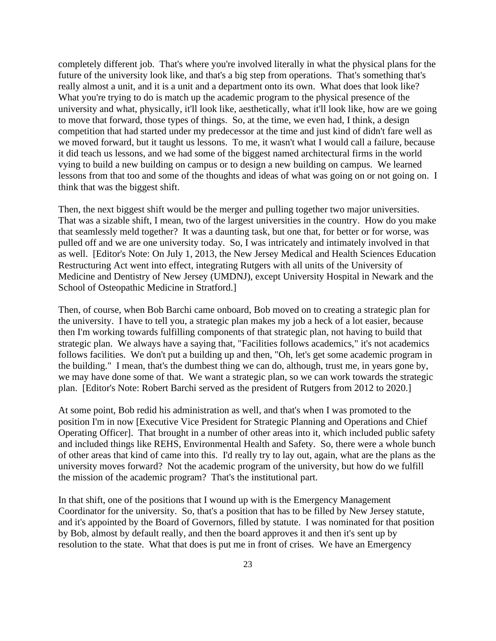completely different job. That's where you're involved literally in what the physical plans for the future of the university look like, and that's a big step from operations. That's something that's really almost a unit, and it is a unit and a department onto its own. What does that look like? What you're trying to do is match up the academic program to the physical presence of the university and what, physically, it'll look like, aesthetically, what it'll look like, how are we going to move that forward, those types of things. So, at the time, we even had, I think, a design competition that had started under my predecessor at the time and just kind of didn't fare well as we moved forward, but it taught us lessons. To me, it wasn't what I would call a failure, because it did teach us lessons, and we had some of the biggest named architectural firms in the world vying to build a new building on campus or to design a new building on campus. We learned lessons from that too and some of the thoughts and ideas of what was going on or not going on. I think that was the biggest shift.

Then, the next biggest shift would be the merger and pulling together two major universities. That was a sizable shift, I mean, two of the largest universities in the country. How do you make that seamlessly meld together? It was a daunting task, but one that, for better or for worse, was pulled off and we are one university today. So, I was intricately and intimately involved in that as well. [Editor's Note: On July 1, 2013, the New Jersey Medical and Health Sciences Education Restructuring Act went into effect, integrating Rutgers with all units of the University of Medicine and Dentistry of New Jersey (UMDNJ), except University Hospital in Newark and the School of Osteopathic Medicine in Stratford.]

Then, of course, when Bob Barchi came onboard, Bob moved on to creating a strategic plan for the university. I have to tell you, a strategic plan makes my job a heck of a lot easier, because then I'm working towards fulfilling components of that strategic plan, not having to build that strategic plan. We always have a saying that, "Facilities follows academics," it's not academics follows facilities. We don't put a building up and then, "Oh, let's get some academic program in the building." I mean, that's the dumbest thing we can do, although, trust me, in years gone by, we may have done some of that. We want a strategic plan, so we can work towards the strategic plan. [Editor's Note: Robert Barchi served as the president of Rutgers from 2012 to 2020.]

At some point, Bob redid his administration as well, and that's when I was promoted to the position I'm in now [Executive Vice President for Strategic Planning and Operations and Chief Operating Officer]. That brought in a number of other areas into it, which included public safety and included things like REHS, Environmental Health and Safety. So, there were a whole bunch of other areas that kind of came into this. I'd really try to lay out, again, what are the plans as the university moves forward? Not the academic program of the university, but how do we fulfill the mission of the academic program? That's the institutional part.

In that shift, one of the positions that I wound up with is the Emergency Management Coordinator for the university. So, that's a position that has to be filled by New Jersey statute, and it's appointed by the Board of Governors, filled by statute. I was nominated for that position by Bob, almost by default really, and then the board approves it and then it's sent up by resolution to the state. What that does is put me in front of crises. We have an Emergency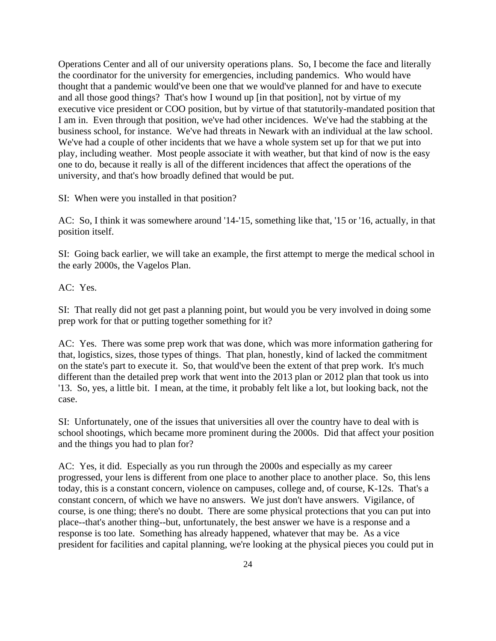Operations Center and all of our university operations plans. So, I become the face and literally the coordinator for the university for emergencies, including pandemics. Who would have thought that a pandemic would've been one that we would've planned for and have to execute and all those good things? That's how I wound up [in that position], not by virtue of my executive vice president or COO position, but by virtue of that statutorily-mandated position that I am in. Even through that position, we've had other incidences. We've had the stabbing at the business school, for instance. We've had threats in Newark with an individual at the law school. We've had a couple of other incidents that we have a whole system set up for that we put into play, including weather. Most people associate it with weather, but that kind of now is the easy one to do, because it really is all of the different incidences that affect the operations of the university, and that's how broadly defined that would be put.

SI: When were you installed in that position?

AC: So, I think it was somewhere around '14-'15, something like that, '15 or '16, actually, in that position itself.

SI: Going back earlier, we will take an example, the first attempt to merge the medical school in the early 2000s, the Vagelos Plan.

AC: Yes.

SI: That really did not get past a planning point, but would you be very involved in doing some prep work for that or putting together something for it?

AC: Yes. There was some prep work that was done, which was more information gathering for that, logistics, sizes, those types of things. That plan, honestly, kind of lacked the commitment on the state's part to execute it. So, that would've been the extent of that prep work. It's much different than the detailed prep work that went into the 2013 plan or 2012 plan that took us into '13. So, yes, a little bit. I mean, at the time, it probably felt like a lot, but looking back, not the case.

SI: Unfortunately, one of the issues that universities all over the country have to deal with is school shootings, which became more prominent during the 2000s. Did that affect your position and the things you had to plan for?

AC: Yes, it did. Especially as you run through the 2000s and especially as my career progressed, your lens is different from one place to another place to another place. So, this lens today, this is a constant concern, violence on campuses, college and, of course, K-12s. That's a constant concern, of which we have no answers. We just don't have answers. Vigilance, of course, is one thing; there's no doubt. There are some physical protections that you can put into place--that's another thing--but, unfortunately, the best answer we have is a response and a response is too late. Something has already happened, whatever that may be. As a vice president for facilities and capital planning, we're looking at the physical pieces you could put in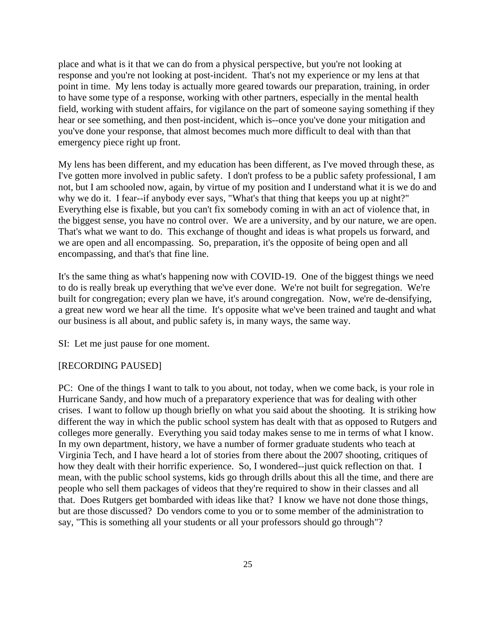place and what is it that we can do from a physical perspective, but you're not looking at response and you're not looking at post-incident. That's not my experience or my lens at that point in time. My lens today is actually more geared towards our preparation, training, in order to have some type of a response, working with other partners, especially in the mental health field, working with student affairs, for vigilance on the part of someone saying something if they hear or see something, and then post-incident, which is--once you've done your mitigation and you've done your response, that almost becomes much more difficult to deal with than that emergency piece right up front.

My lens has been different, and my education has been different, as I've moved through these, as I've gotten more involved in public safety. I don't profess to be a public safety professional, I am not, but I am schooled now, again, by virtue of my position and I understand what it is we do and why we do it. I fear--if anybody ever says, "What's that thing that keeps you up at night?" Everything else is fixable, but you can't fix somebody coming in with an act of violence that, in the biggest sense, you have no control over. We are a university, and by our nature, we are open. That's what we want to do. This exchange of thought and ideas is what propels us forward, and we are open and all encompassing. So, preparation, it's the opposite of being open and all encompassing, and that's that fine line.

It's the same thing as what's happening now with COVID-19. One of the biggest things we need to do is really break up everything that we've ever done. We're not built for segregation. We're built for congregation; every plan we have, it's around congregation. Now, we're de-densifying, a great new word we hear all the time. It's opposite what we've been trained and taught and what our business is all about, and public safety is, in many ways, the same way.

SI: Let me just pause for one moment.

#### [RECORDING PAUSED]

PC: One of the things I want to talk to you about, not today, when we come back, is your role in Hurricane Sandy, and how much of a preparatory experience that was for dealing with other crises. I want to follow up though briefly on what you said about the shooting. It is striking how different the way in which the public school system has dealt with that as opposed to Rutgers and colleges more generally. Everything you said today makes sense to me in terms of what I know. In my own department, history, we have a number of former graduate students who teach at Virginia Tech, and I have heard a lot of stories from there about the 2007 shooting, critiques of how they dealt with their horrific experience. So, I wondered--just quick reflection on that. I mean, with the public school systems, kids go through drills about this all the time, and there are people who sell them packages of videos that they're required to show in their classes and all that. Does Rutgers get bombarded with ideas like that? I know we have not done those things, but are those discussed? Do vendors come to you or to some member of the administration to say, "This is something all your students or all your professors should go through"?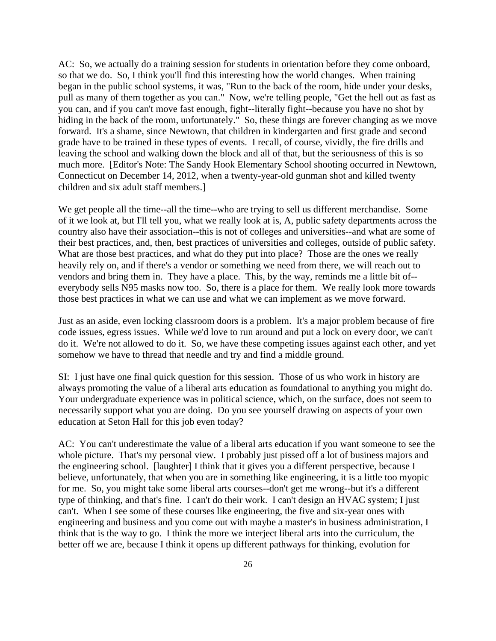AC: So, we actually do a training session for students in orientation before they come onboard, so that we do. So, I think you'll find this interesting how the world changes. When training began in the public school systems, it was, "Run to the back of the room, hide under your desks, pull as many of them together as you can." Now, we're telling people, "Get the hell out as fast as you can, and if you can't move fast enough, fight--literally fight--because you have no shot by hiding in the back of the room, unfortunately." So, these things are forever changing as we move forward. It's a shame, since Newtown, that children in kindergarten and first grade and second grade have to be trained in these types of events. I recall, of course, vividly, the fire drills and leaving the school and walking down the block and all of that, but the seriousness of this is so much more. [Editor's Note: The Sandy Hook Elementary School shooting occurred in Newtown, Connecticut on December 14, 2012, when a twenty-year-old gunman shot and killed twenty children and six adult staff members.]

We get people all the time--all the time--who are trying to sell us different merchandise. Some of it we look at, but I'll tell you, what we really look at is, A, public safety departments across the country also have their association--this is not of colleges and universities--and what are some of their best practices, and, then, best practices of universities and colleges, outside of public safety. What are those best practices, and what do they put into place? Those are the ones we really heavily rely on, and if there's a vendor or something we need from there, we will reach out to vendors and bring them in. They have a place. This, by the way, reminds me a little bit of- everybody sells N95 masks now too. So, there is a place for them. We really look more towards those best practices in what we can use and what we can implement as we move forward.

Just as an aside, even locking classroom doors is a problem. It's a major problem because of fire code issues, egress issues. While we'd love to run around and put a lock on every door, we can't do it. We're not allowed to do it. So, we have these competing issues against each other, and yet somehow we have to thread that needle and try and find a middle ground.

SI: I just have one final quick question for this session. Those of us who work in history are always promoting the value of a liberal arts education as foundational to anything you might do. Your undergraduate experience was in political science, which, on the surface, does not seem to necessarily support what you are doing. Do you see yourself drawing on aspects of your own education at Seton Hall for this job even today?

AC: You can't underestimate the value of a liberal arts education if you want someone to see the whole picture. That's my personal view. I probably just pissed off a lot of business majors and the engineering school. [laughter] I think that it gives you a different perspective, because I believe, unfortunately, that when you are in something like engineering, it is a little too myopic for me. So, you might take some liberal arts courses--don't get me wrong--but it's a different type of thinking, and that's fine. I can't do their work. I can't design an HVAC system; I just can't. When I see some of these courses like engineering, the five and six-year ones with engineering and business and you come out with maybe a master's in business administration, I think that is the way to go. I think the more we interject liberal arts into the curriculum, the better off we are, because I think it opens up different pathways for thinking, evolution for